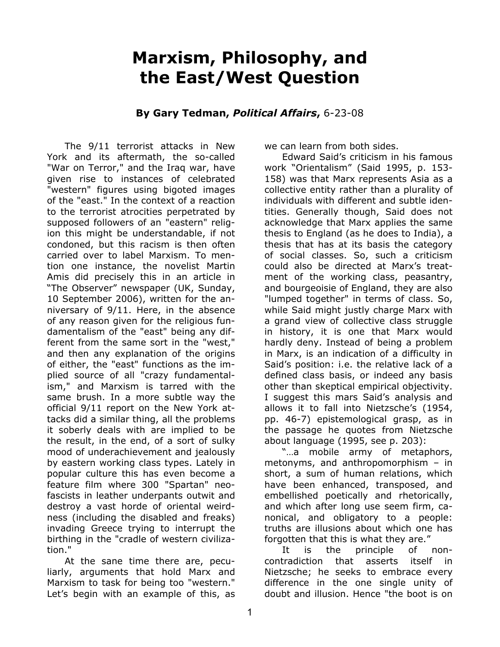## **Marxism, Philosophy, and the East/West Question**

**By Gary Tedman,** *Political Affairs***,** 6-23-08

The 9/11 terrorist attacks in New York and its aftermath, the so-called "War on Terror," and the Iraq war, have given rise to instances of celebrated "western" figures using bigoted images of the "east." In the context of a reaction to the terrorist atrocities perpetrated by supposed followers of an "eastern" religion this might be understandable, if not condoned, but this racism is then often carried over to label Marxism. To mention one instance, the novelist Martin Amis did precisely this in an article in "The Observer" newspaper (UK, Sunday, 10 September 2006), written for the anniversary of 9/11. Here, in the absence of any reason given for the religious fundamentalism of the "east" being any different from the same sort in the "west," and then any explanation of the origins of either, the "east" functions as the implied source of all "crazy fundamentalism," and Marxism is tarred with the same brush. In a more subtle way the official 9/11 report on the New York attacks did a similar thing, all the problems it soberly deals with are implied to be the result, in the end, of a sort of sulky mood of underachievement and jealously by eastern working class types. Lately in popular culture this has even become a feature film where 300 "Spartan" neofascists in leather underpants outwit and destroy a vast horde of oriental weirdness (including the disabled and freaks) invading Greece trying to interrupt the birthing in the "cradle of western civilization."

At the sane time there are, peculiarly, arguments that hold Marx and Marxism to task for being too "western." Let's begin with an example of this, as we can learn from both sides.

Edward Said's criticism in his famous work "Orientalism" (Said 1995, p. 153- 158) was that Marx represents Asia as a collective entity rather than a plurality of individuals with different and subtle identities. Generally though, Said does not acknowledge that Marx applies the same thesis to England (as he does to India), a thesis that has at its basis the category of social classes. So, such a criticism could also be directed at Marx's treatment of the working class, peasantry, and bourgeoisie of England, they are also "lumped together" in terms of class. So, while Said might justly charge Marx with a grand view of collective class struggle in history, it is one that Marx would hardly deny. Instead of being a problem in Marx, is an indication of a difficulty in Said's position: i.e. the relative lack of a defined class basis, or indeed any basis other than skeptical empirical objectivity. I suggest this mars Said's analysis and allows it to fall into Nietzsche's (1954, pp. 46-7) epistemological grasp, as in the passage he quotes from Nietzsche about language (1995, see p. 203):

"…a mobile army of metaphors, metonyms, and anthropomorphism – in short, a sum of human relations, which have been enhanced, transposed, and embellished poetically and rhetorically, and which after long use seem firm, canonical, and obligatory to a people: truths are illusions about which one has forgotten that this is what they are."

It is the principle of noncontradiction that asserts itself in Nietzsche; he seeks to embrace every difference in the one single unity of doubt and illusion. Hence "the boot is on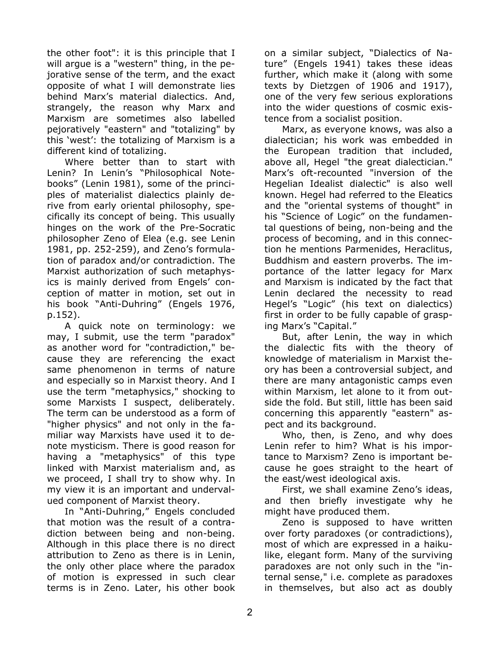the other foot": it is this principle that I will argue is a "western" thing, in the pejorative sense of the term, and the exact opposite of what I will demonstrate lies behind Marx's material dialectics. And, strangely, the reason why Marx and Marxism are sometimes also labelled pejoratively "eastern" and "totalizing" by this 'west': the totalizing of Marxism is a different kind of totalizing.

Where better than to start with Lenin? In Lenin's "Philosophical Notebooks" (Lenin 1981), some of the principles of materialist dialectics plainly derive from early oriental philosophy, specifically its concept of being. This usually hinges on the work of the Pre-Socratic philosopher Zeno of Elea (e.g. see Lenin 1981, pp. 252-259), and Zeno's formulation of paradox and/or contradiction. The Marxist authorization of such metaphysics is mainly derived from Engels' conception of matter in motion, set out in his book "Anti-Duhring" (Engels 1976, p.152).

A quick note on terminology: we may, I submit, use the term "paradox" as another word for "contradiction," because they are referencing the exact same phenomenon in terms of nature and especially so in Marxist theory. And I use the term "metaphysics," shocking to some Marxists I suspect, deliberately. The term can be understood as a form of "higher physics" and not only in the familiar way Marxists have used it to denote mysticism. There is good reason for having a "metaphysics" of this type linked with Marxist materialism and, as we proceed, I shall try to show why. In my view it is an important and undervalued component of Marxist theory.

In "Anti-Duhring," Engels concluded that motion was the result of a contradiction between being and non-being. Although in this place there is no direct attribution to Zeno as there is in Lenin, the only other place where the paradox of motion is expressed in such clear terms is in Zeno. Later, his other book

on a similar subject, "Dialectics of Nature" (Engels 1941) takes these ideas further, which make it (along with some texts by Dietzgen of 1906 and 1917), one of the very few serious explorations into the wider questions of cosmic existence from a socialist position.

Marx, as everyone knows, was also a dialectician; his work was embedded in the European tradition that included, above all, Hegel "the great dialectician." Marx's oft-recounted "inversion of the Hegelian Idealist dialectic" is also well known. Hegel had referred to the Eleatics and the "oriental systems of thought" in his "Science of Logic" on the fundamental questions of being, non-being and the process of becoming, and in this connection he mentions Parmenides, Heraclitus, Buddhism and eastern proverbs. The importance of the latter legacy for Marx and Marxism is indicated by the fact that Lenin declared the necessity to read Hegel's "Logic" (his text on dialectics) first in order to be fully capable of grasping Marx's "Capital."

But, after Lenin, the way in which the dialectic fits with the theory of knowledge of materialism in Marxist theory has been a controversial subject, and there are many antagonistic camps even within Marxism, let alone to it from outside the fold. But still, little has been said concerning this apparently "eastern" aspect and its background.

Who, then, is Zeno, and why does Lenin refer to him? What is his importance to Marxism? Zeno is important because he goes straight to the heart of the east/west ideological axis.

First, we shall examine Zeno's ideas, and then briefly investigate why he might have produced them.

Zeno is supposed to have written over forty paradoxes (or contradictions), most of which are expressed in a haikulike, elegant form. Many of the surviving paradoxes are not only such in the "internal sense," i.e. complete as paradoxes in themselves, but also act as doubly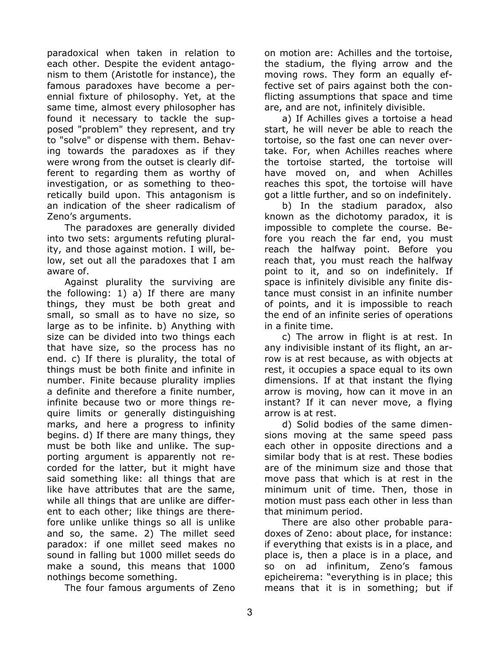paradoxical when taken in relation to each other. Despite the evident antagonism to them (Aristotle for instance), the famous paradoxes have become a perennial fixture of philosophy. Yet, at the same time, almost every philosopher has found it necessary to tackle the supposed "problem" they represent, and try to "solve" or dispense with them. Behaving towards the paradoxes as if they were wrong from the outset is clearly different to regarding them as worthy of investigation, or as something to theoretically build upon. This antagonism is an indication of the sheer radicalism of Zeno's arguments.

The paradoxes are generally divided into two sets: arguments refuting plurality, and those against motion. I will, below, set out all the paradoxes that I am aware of.

Against plurality the surviving are the following: 1) a) If there are many things, they must be both great and small, so small as to have no size, so large as to be infinite. b) Anything with size can be divided into two things each that have size, so the process has no end. c) If there is plurality, the total of things must be both finite and infinite in number. Finite because plurality implies a definite and therefore a finite number, infinite because two or more things require limits or generally distinguishing marks, and here a progress to infinity begins. d) If there are many things, they must be both like and unlike. The supporting argument is apparently not recorded for the latter, but it might have said something like: all things that are like have attributes that are the same, while all things that are unlike are different to each other; like things are therefore unlike unlike things so all is unlike and so, the same. 2) The millet seed paradox: if one millet seed makes no sound in falling but 1000 millet seeds do make a sound, this means that 1000 nothings become something.

The four famous arguments of Zeno

on motion are: Achilles and the tortoise, the stadium, the flying arrow and the moving rows. They form an equally effective set of pairs against both the conflicting assumptions that space and time are, and are not, infinitely divisible.

a) If Achilles gives a tortoise a head start, he will never be able to reach the tortoise, so the fast one can never overtake. For, when Achilles reaches where the tortoise started, the tortoise will have moved on, and when Achilles reaches this spot, the tortoise will have got a little further, and so on indefinitely.

b) In the stadium paradox, also known as the dichotomy paradox, it is impossible to complete the course. Before you reach the far end, you must reach the halfway point. Before you reach that, you must reach the halfway point to it, and so on indefinitely. If space is infinitely divisible any finite distance must consist in an infinite number of points, and it is impossible to reach the end of an infinite series of operations in a finite time.

c) The arrow in flight is at rest. In any indivisible instant of its flight, an arrow is at rest because, as with objects at rest, it occupies a space equal to its own dimensions. If at that instant the flying arrow is moving, how can it move in an instant? If it can never move, a flying arrow is at rest.

d) Solid bodies of the same dimensions moving at the same speed pass each other in opposite directions and a similar body that is at rest. These bodies are of the minimum size and those that move pass that which is at rest in the minimum unit of time. Then, those in motion must pass each other in less than that minimum period.

There are also other probable paradoxes of Zeno: about place, for instance: if everything that exists is in a place, and place is, then a place is in a place, and so on ad infinitum, Zeno's famous epicheirema: "everything is in place; this means that it is in something; but if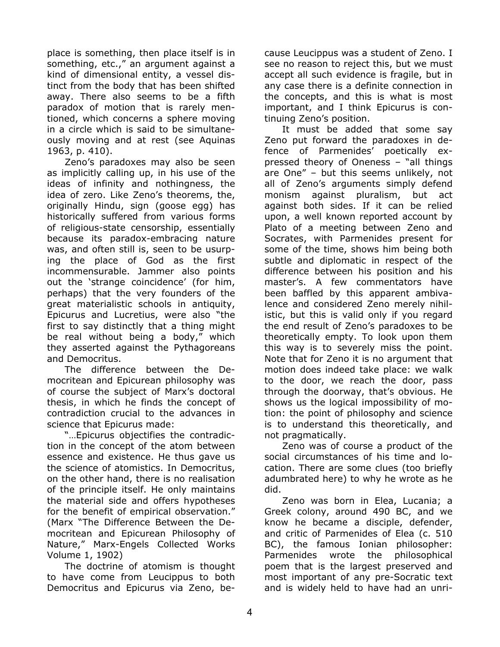place is something, then place itself is in something, etc.," an argument against a kind of dimensional entity, a vessel distinct from the body that has been shifted away. There also seems to be a fifth paradox of motion that is rarely mentioned, which concerns a sphere moving in a circle which is said to be simultaneously moving and at rest (see Aquinas 1963, p. 410).

Zeno's paradoxes may also be seen as implicitly calling up, in his use of the ideas of infinity and nothingness, the idea of zero. Like Zeno's theorems, the, originally Hindu, sign (goose egg) has historically suffered from various forms of religious-state censorship, essentially because its paradox-embracing nature was, and often still is, seen to be usurping the place of God as the first incommensurable. Jammer also points out the 'strange coincidence' (for him, perhaps) that the very founders of the great materialistic schools in antiquity, Epicurus and Lucretius, were also "the first to say distinctly that a thing might be real without being a body," which they asserted against the Pythagoreans and Democritus.

The difference between the Democritean and Epicurean philosophy was of course the subject of Marx's doctoral thesis, in which he finds the concept of contradiction crucial to the advances in science that Epicurus made:

"…Epicurus objectifies the contradiction in the concept of the atom between essence and existence. He thus gave us the science of atomistics. In Democritus, on the other hand, there is no realisation of the principle itself. He only maintains the material side and offers hypotheses for the benefit of empirical observation." (Marx "The Difference Between the Democritean and Epicurean Philosophy of Nature," Marx-Engels Collected Works Volume 1, 1902)

The doctrine of atomism is thought to have come from Leucippus to both Democritus and Epicurus via Zeno, because Leucippus was a student of Zeno. I see no reason to reject this, but we must accept all such evidence is fragile, but in any case there is a definite connection in the concepts, and this is what is most important, and I think Epicurus is continuing Zeno's position.

It must be added that some say Zeno put forward the paradoxes in defence of Parmenides' poetically expressed theory of Oneness – "all things are One" – but this seems unlikely, not all of Zeno's arguments simply defend monism against pluralism, but act against both sides. If it can be relied upon, a well known reported account by Plato of a meeting between Zeno and Socrates, with Parmenides present for some of the time, shows him being both subtle and diplomatic in respect of the difference between his position and his master's. A few commentators have been baffled by this apparent ambivalence and considered Zeno merely nihilistic, but this is valid only if you regard the end result of Zeno's paradoxes to be theoretically empty. To look upon them this way is to severely miss the point. Note that for Zeno it is no argument that motion does indeed take place: we walk to the door, we reach the door, pass through the doorway, that's obvious. He shows us the logical impossibility of motion: the point of philosophy and science is to understand this theoretically, and not pragmatically.

Zeno was of course a product of the social circumstances of his time and location. There are some clues (too briefly adumbrated here) to why he wrote as he did.

Zeno was born in Elea, Lucania; a Greek colony, around 490 BC, and we know he became a disciple, defender, and critic of Parmenides of Elea (c. 510 BC), the famous Ionian philosopher: Parmenides wrote the philosophical poem that is the largest preserved and most important of any pre-Socratic text and is widely held to have had an unri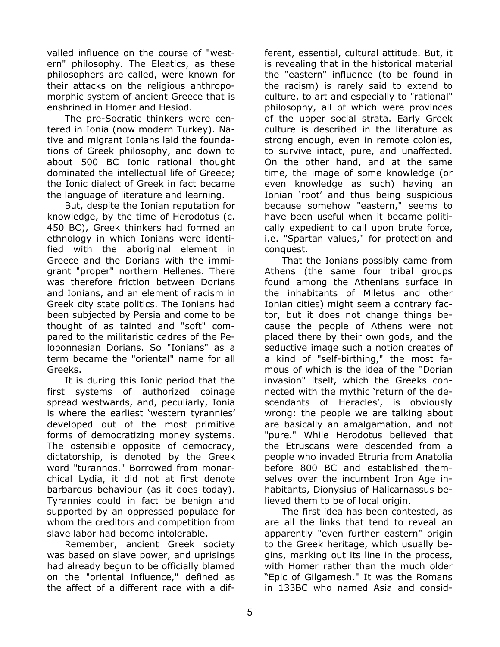valled influence on the course of "western" philosophy. The Eleatics, as these philosophers are called, were known for their attacks on the religious anthropomorphic system of ancient Greece that is enshrined in Homer and Hesiod.

The pre-Socratic thinkers were centered in Ionia (now modern Turkey). Native and migrant Ionians laid the foundations of Greek philosophy, and down to about 500 BC Ionic rational thought dominated the intellectual life of Greece; the Ionic dialect of Greek in fact became the language of literature and learning.

But, despite the Ionian reputation for knowledge, by the time of Herodotus (c. 450 BC), Greek thinkers had formed an ethnology in which Ionians were identified with the aboriginal element in Greece and the Dorians with the immigrant "proper" northern Hellenes. There was therefore friction between Dorians and Ionians, and an element of racism in Greek city state politics. The Ionians had been subjected by Persia and come to be thought of as tainted and "soft" compared to the militaristic cadres of the Peloponnesian Dorians. So "Ionians" as a term became the "oriental" name for all Greeks.

It is during this Ionic period that the first systems of authorized coinage spread westwards, and, peculiarly, Ionia is where the earliest 'western tyrannies' developed out of the most primitive forms of democratizing money systems. The ostensible opposite of democracy, dictatorship, is denoted by the Greek word "turannos." Borrowed from monarchical Lydia, it did not at first denote barbarous behaviour (as it does today). Tyrannies could in fact be benign and supported by an oppressed populace for whom the creditors and competition from slave labor had become intolerable.

Remember, ancient Greek society was based on slave power, and uprisings had already begun to be officially blamed on the "oriental influence," defined as the affect of a different race with a different, essential, cultural attitude. But, it is revealing that in the historical material the "eastern" influence (to be found in the racism) is rarely said to extend to culture, to art and especially to "rational" philosophy, all of which were provinces of the upper social strata. Early Greek culture is described in the literature as strong enough, even in remote colonies, to survive intact, pure, and unaffected. On the other hand, and at the same time, the image of some knowledge (or even knowledge as such) having an Ionian 'root' and thus being suspicious because somehow "eastern," seems to have been useful when it became politically expedient to call upon brute force, i.e. "Spartan values," for protection and conquest.

That the Ionians possibly came from Athens (the same four tribal groups found among the Athenians surface in the inhabitants of Miletus and other Ionian cities) might seem a contrary factor, but it does not change things because the people of Athens were not placed there by their own gods, and the seductive image such a notion creates of a kind of "self-birthing," the most famous of which is the idea of the "Dorian invasion" itself, which the Greeks connected with the mythic 'return of the descendants of Heracles', is obviously wrong: the people we are talking about are basically an amalgamation, and not "pure." While Herodotus believed that the Etruscans were descended from a people who invaded Etruria from Anatolia before 800 BC and established themselves over the incumbent Iron Age inhabitants, Dionysius of Halicarnassus believed them to be of local origin.

The first idea has been contested, as are all the links that tend to reveal an apparently "even further eastern" origin to the Greek heritage, which usually begins, marking out its line in the process, with Homer rather than the much older "Epic of Gilgamesh." It was the Romans in 133BC who named Asia and consid